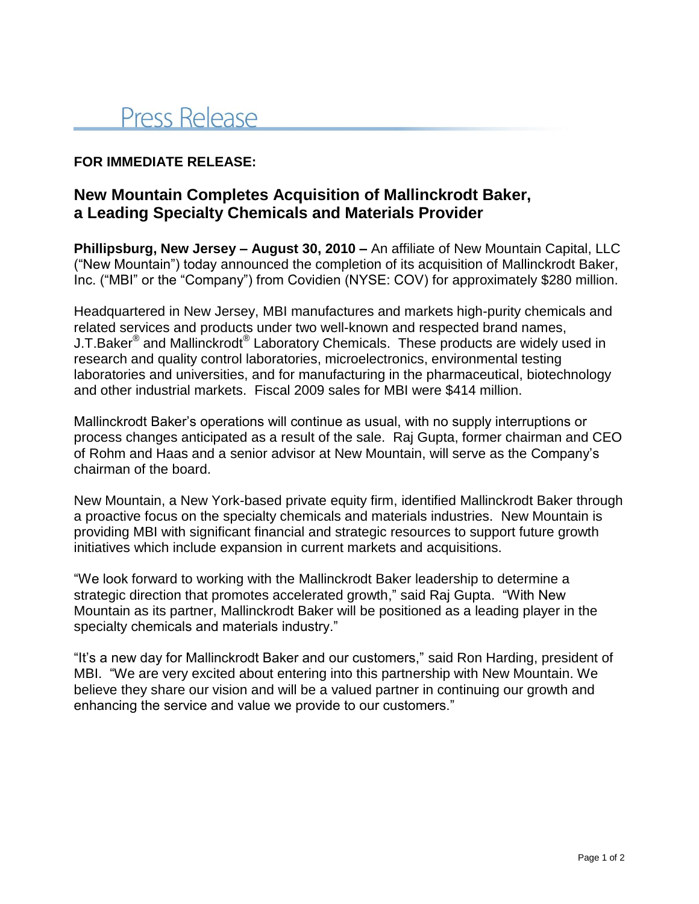# Press Release

### **FOR IMMEDIATE RELEASE:**

## **New Mountain Completes Acquisition of Mallinckrodt Baker, a Leading Specialty Chemicals and Materials Provider**

**Phillipsburg, New Jersey – August 30, 2010 –** An affiliate of New Mountain Capital, LLC ("New Mountain") today announced the completion of its acquisition of Mallinckrodt Baker, Inc. ("MBI" or the "Company") from Covidien (NYSE: COV) for approximately \$280 million.

Headquartered in New Jersey, MBI manufactures and markets high-purity chemicals and related services and products under two well-known and respected brand names, J.T.Baker<sup>®</sup> and Mallinckrodt<sup>®</sup> Laboratory Chemicals. These products are widely used in research and quality control laboratories, microelectronics, environmental testing laboratories and universities, and for manufacturing in the pharmaceutical, biotechnology and other industrial markets. Fiscal 2009 sales for MBI were \$414 million.

Mallinckrodt Baker's operations will continue as usual, with no supply interruptions or process changes anticipated as a result of the sale. Raj Gupta, former chairman and CEO of Rohm and Haas and a senior advisor at New Mountain, will serve as the Company's chairman of the board.

New Mountain, a New York-based private equity firm, identified Mallinckrodt Baker through a proactive focus on the specialty chemicals and materials industries. New Mountain is providing MBI with significant financial and strategic resources to support future growth initiatives which include expansion in current markets and acquisitions.

"We look forward to working with the Mallinckrodt Baker leadership to determine a strategic direction that promotes accelerated growth," said Raj Gupta. "With New Mountain as its partner, Mallinckrodt Baker will be positioned as a leading player in the specialty chemicals and materials industry."

"It's a new day for Mallinckrodt Baker and our customers," said Ron Harding, president of MBI. "We are very excited about entering into this partnership with New Mountain. We believe they share our vision and will be a valued partner in continuing our growth and enhancing the service and value we provide to our customers."